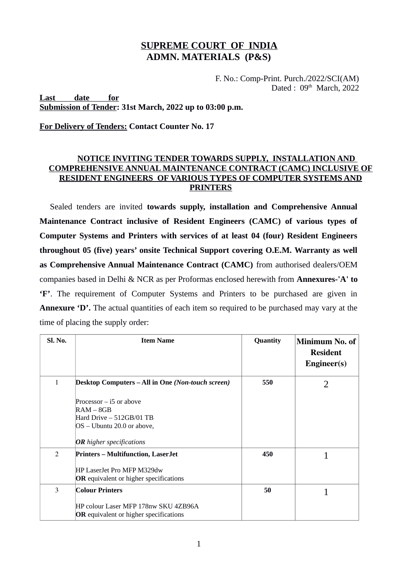# **SUPREME COURT OF INDIA ADMN. MATERIALS (P&S)**

 F. No.: Comp-Print. Purch./2022/SCI(AM) Dated :  $09<sup>th</sup>$  March, 2022

### **Last date for Submission of Tender: 31st March, 2022 up to 03:00 p.m.**

**For Delivery of Tenders: Contact Counter No. 17**

## **NOTICE INVITING TENDER TOWARDS SUPPLY, INSTALLATION AND COMPREHENSIVE ANNUAL MAINTENANCE CONTRACT (CAMC) INCLUSIVE OF RESIDENT ENGINEERS OF VARIOUS TYPES OF COMPUTER SYSTEMS AND PRINTERS**

Sealed tenders are invited **towards supply, installation and Comprehensive Annual Maintenance Contract inclusive of Resident Engineers (CAMC) of various types of Computer Systems and Printers with services of at least 04 (four) Resident Engineers throughout 05 (five) years' onsite Technical Support covering O.E.M. Warranty as well as Comprehensive Annual Maintenance Contract (CAMC)** from authorised dealers/OEM companies based in Delhi & NCR as per Proformas enclosed herewith from **Annexures-'A' to 'F'**. The requirement of Computer Systems and Printers to be purchased are given in Annexure 'D'. The actual quantities of each item so required to be purchased may vary at the time of placing the supply order:

| Sl. No.        | <b>Item Name</b>                                                                                                                                                                             | <b>Quantity</b> | Minimum No. of<br><b>Resident</b><br>Engineering(s) |
|----------------|----------------------------------------------------------------------------------------------------------------------------------------------------------------------------------------------|-----------------|-----------------------------------------------------|
| 1              | Desktop Computers - All in One (Non-touch screen)<br>Processor $-$ i5 or above<br>$RAM - 8GB$<br>Hard Drive - 512GB/01 TB<br>$OS - Ubuntu$ 20.0 or above,<br><b>OR</b> higher specifications | 550             | $\overline{2}$                                      |
| $\overline{2}$ | <b>Printers – Multifunction, LaserJet</b><br>HP LaserJet Pro MFP M329dw<br><b>OR</b> equivalent or higher specifications                                                                     | 450             |                                                     |
| 3              | <b>Colour Printers</b><br>HP colour Laser MFP 178nw SKU 4ZB96A<br><b>OR</b> equivalent or higher specifications                                                                              | 50              |                                                     |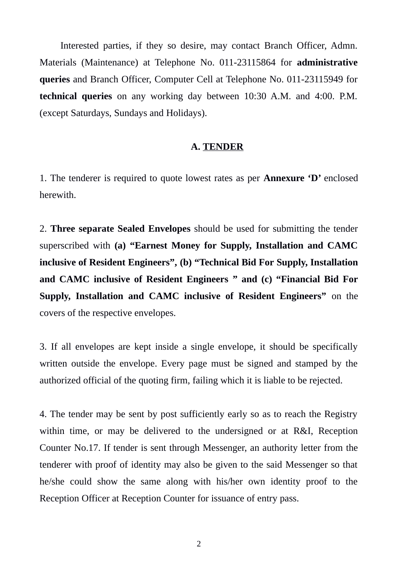Interested parties, if they so desire, may contact Branch Officer, Admn. Materials (Maintenance) at Telephone No. 011-23115864 for **administrative queries** and Branch Officer, Computer Cell at Telephone No. 011-23115949 for **technical queries** on any working day between 10:30 A.M. and 4:00. P.M. (except Saturdays, Sundays and Holidays).

### **A. TENDER**

1. The tenderer is required to quote lowest rates as per **Annexure 'D'** enclosed herewith.

2. **Three separate Sealed Envelopes** should be used for submitting the tender superscribed with **(a) "Earnest Money for Supply, Installation and CAMC inclusive of Resident Engineers", (b) "Technical Bid For Supply, Installation and CAMC inclusive of Resident Engineers " and (c) "Financial Bid For Supply, Installation and CAMC inclusive of Resident Engineers"** on the covers of the respective envelopes.

3. If all envelopes are kept inside a single envelope, it should be specifically written outside the envelope. Every page must be signed and stamped by the authorized official of the quoting firm, failing which it is liable to be rejected.

4. The tender may be sent by post sufficiently early so as to reach the Registry within time, or may be delivered to the undersigned or at R&I, Reception Counter No.17. If tender is sent through Messenger, an authority letter from the tenderer with proof of identity may also be given to the said Messenger so that he/she could show the same along with his/her own identity proof to the Reception Officer at Reception Counter for issuance of entry pass.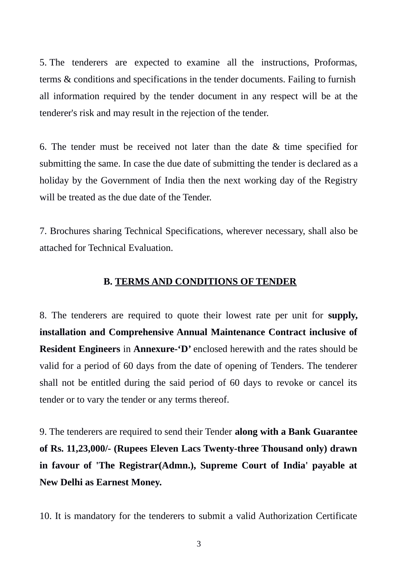5. The tenderers are expected to examine all the instructions, Proformas, terms & conditions and specifications in the tender documents. Failing to furnish all information required by the tender document in any respect will be at the tenderer's risk and may result in the rejection of the tender.

6. The tender must be received not later than the date & time specified for submitting the same. In case the due date of submitting the tender is declared as a holiday by the Government of India then the next working day of the Registry will be treated as the due date of the Tender.

7. Brochures sharing Technical Specifications, wherever necessary, shall also be attached for Technical Evaluation.

## **B. TERMS AND CONDITIONS OF TENDER**

8. The tenderers are required to quote their lowest rate per unit for **supply, installation and Comprehensive Annual Maintenance Contract inclusive of Resident Engineers** in **Annexure-'D'** enclosed herewith and the rates should be valid for a period of 60 days from the date of opening of Tenders. The tenderer shall not be entitled during the said period of 60 days to revoke or cancel its tender or to vary the tender or any terms thereof.

9. The tenderers are required to send their Tender **along with a Bank Guarantee of Rs. 11,23,000/- (Rupees Eleven Lacs Twenty-three Thousand only) drawn in favour of 'The Registrar(Admn.), Supreme Court of India' payable at New Delhi as Earnest Money.**

10. It is mandatory for the tenderers to submit a valid Authorization Certificate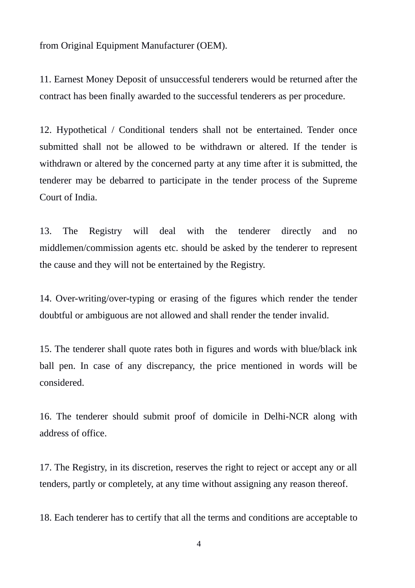from Original Equipment Manufacturer (OEM).

11. Earnest Money Deposit of unsuccessful tenderers would be returned after the contract has been finally awarded to the successful tenderers as per procedure.

12. Hypothetical / Conditional tenders shall not be entertained. Tender once submitted shall not be allowed to be withdrawn or altered. If the tender is withdrawn or altered by the concerned party at any time after it is submitted, the tenderer may be debarred to participate in the tender process of the Supreme Court of India.

13. The Registry will deal with the tenderer directly and no middlemen/commission agents etc. should be asked by the tenderer to represent the cause and they will not be entertained by the Registry.

14. Over-writing/over-typing or erasing of the figures which render the tender doubtful or ambiguous are not allowed and shall render the tender invalid.

15. The tenderer shall quote rates both in figures and words with blue/black ink ball pen. In case of any discrepancy, the price mentioned in words will be considered.

16. The tenderer should submit proof of domicile in Delhi-NCR along with address of office.

17. The Registry, in its discretion, reserves the right to reject or accept any or all tenders, partly or completely, at any time without assigning any reason thereof.

18. Each tenderer has to certify that all the terms and conditions are acceptable to

4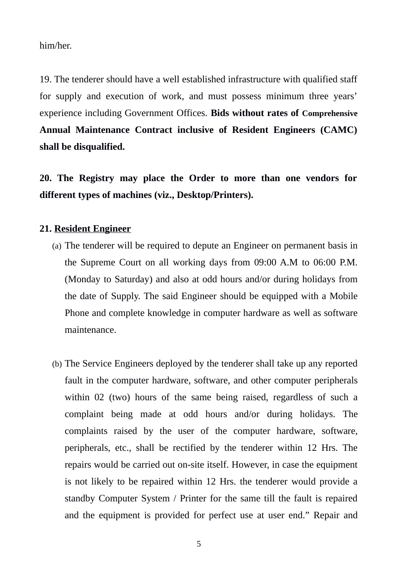him/her.

19. The tenderer should have a well established infrastructure with qualified staff for supply and execution of work, and must possess minimum three years' experience including Government Offices. **Bids without rates of Comprehensive Annual Maintenance Contract inclusive of Resident Engineers (CAMC) shall be disqualified.**

**20. The Registry may place the Order to more than one vendors for different types of machines (viz., Desktop/Printers).**

# **21. Resident Engineer**

- (a) The tenderer will be required to depute an Engineer on permanent basis in the Supreme Court on all working days from 09:00 A.M to 06:00 P.M. (Monday to Saturday) and also at odd hours and/or during holidays from the date of Supply. The said Engineer should be equipped with a Mobile Phone and complete knowledge in computer hardware as well as software maintenance.
- (b) The Service Engineers deployed by the tenderer shall take up any reported fault in the computer hardware, software, and other computer peripherals within 02 (two) hours of the same being raised, regardless of such a complaint being made at odd hours and/or during holidays. The complaints raised by the user of the computer hardware, software, peripherals, etc., shall be rectified by the tenderer within 12 Hrs. The repairs would be carried out on-site itself. However, in case the equipment is not likely to be repaired within 12 Hrs. the tenderer would provide a standby Computer System / Printer for the same till the fault is repaired and the equipment is provided for perfect use at user end." Repair and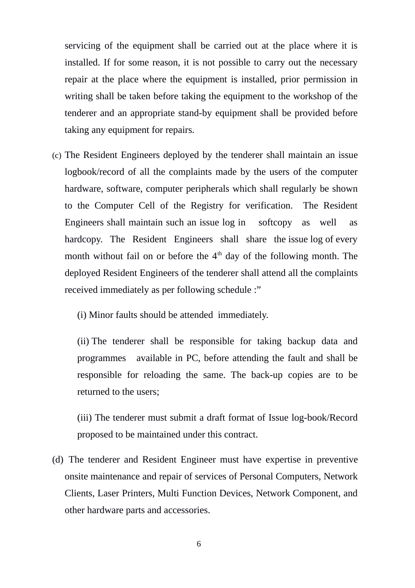servicing of the equipment shall be carried out at the place where it is installed. If for some reason, it is not possible to carry out the necessary repair at the place where the equipment is installed, prior permission in writing shall be taken before taking the equipment to the workshop of the tenderer and an appropriate stand-by equipment shall be provided before taking any equipment for repairs.

- (c) The Resident Engineers deployed by the tenderer shall maintain an issue logbook/record of all the complaints made by the users of the computer hardware, software, computer peripherals which shall regularly be shown to the Computer Cell of the Registry for verification. The Resident Engineers shall maintain such an issue log in softcopy as well as hardcopy. The Resident Engineers shall share the issue log of every month without fail on or before the  $4<sup>th</sup>$  day of the following month. The deployed Resident Engineers of the tenderer shall attend all the complaints received immediately as per following schedule :"
	- (i) Minor faults should be attended immediately.

(ii) The tenderer shall be responsible for taking backup data and programmes available in PC, before attending the fault and shall be responsible for reloading the same. The back-up copies are to be returned to the users;

(iii) The tenderer must submit a draft format of Issue log-book/Record proposed to be maintained under this contract.

(d) The tenderer and Resident Engineer must have expertise in preventive onsite maintenance and repair of services of Personal Computers, Network Clients, Laser Printers, Multi Function Devices, Network Component, and other hardware parts and accessories.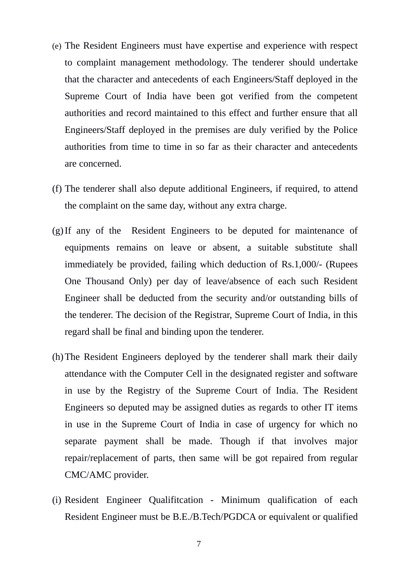- (e) The Resident Engineers must have expertise and experience with respect to complaint management methodology. The tenderer should undertake that the character and antecedents of each Engineers/Staff deployed in the Supreme Court of India have been got verified from the competent authorities and record maintained to this effect and further ensure that all Engineers/Staff deployed in the premises are duly verified by the Police authorities from time to time in so far as their character and antecedents are concerned.
- (f) The tenderer shall also depute additional Engineers, if required, to attend the complaint on the same day, without any extra charge.
- (g)If any of the Resident Engineers to be deputed for maintenance of equipments remains on leave or absent, a suitable substitute shall immediately be provided, failing which deduction of Rs.1,000/- (Rupees One Thousand Only) per day of leave/absence of each such Resident Engineer shall be deducted from the security and/or outstanding bills of the tenderer. The decision of the Registrar, Supreme Court of India, in this regard shall be final and binding upon the tenderer.
- (h)The Resident Engineers deployed by the tenderer shall mark their daily attendance with the Computer Cell in the designated register and software in use by the Registry of the Supreme Court of India. The Resident Engineers so deputed may be assigned duties as regards to other IT items in use in the Supreme Court of India in case of urgency for which no separate payment shall be made. Though if that involves major repair/replacement of parts, then same will be got repaired from regular CMC/AMC provider.
- (i) Resident Engineer Qualifitcation Minimum qualification of each Resident Engineer must be B.E./B.Tech/PGDCA or equivalent or qualified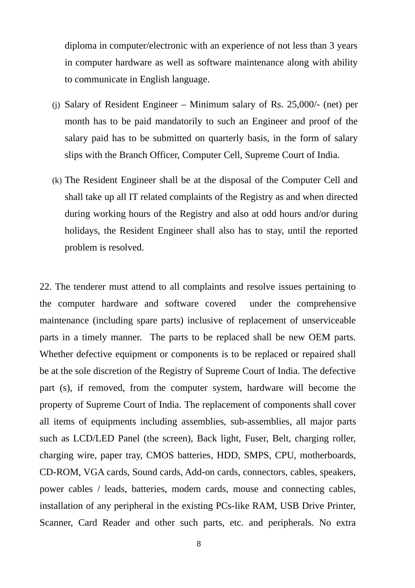diploma in computer/electronic with an experience of not less than 3 years in computer hardware as well as software maintenance along with ability to communicate in English language.

- (j) Salary of Resident Engineer Minimum salary of Rs. 25,000/- (net) per month has to be paid mandatorily to such an Engineer and proof of the salary paid has to be submitted on quarterly basis, in the form of salary slips with the Branch Officer, Computer Cell, Supreme Court of India.
- (k) The Resident Engineer shall be at the disposal of the Computer Cell and shall take up all IT related complaints of the Registry as and when directed during working hours of the Registry and also at odd hours and/or during holidays, the Resident Engineer shall also has to stay, until the reported problem is resolved.

22. The tenderer must attend to all complaints and resolve issues pertaining to the computer hardware and software covered under the comprehensive maintenance (including spare parts) inclusive of replacement of unserviceable parts in a timely manner.The parts to be replaced shall be new OEM parts. Whether defective equipment or components is to be replaced or repaired shall be at the sole discretion of the Registry of Supreme Court of India. The defective part (s), if removed, from the computer system, hardware will become the property of Supreme Court of India. The replacement of components shall cover all items of equipments including assemblies, sub-assemblies, all major parts such as LCD/LED Panel (the screen), Back light, Fuser, Belt, charging roller, charging wire, paper tray, CMOS batteries, HDD, SMPS, CPU, motherboards, CD-ROM, VGA cards, Sound cards, Add-on cards, connectors, cables, speakers, power cables / leads, batteries, modem cards, mouse and connecting cables, installation of any peripheral in the existing PCs-like RAM, USB Drive Printer, Scanner, Card Reader and other such parts, etc. and peripherals. No extra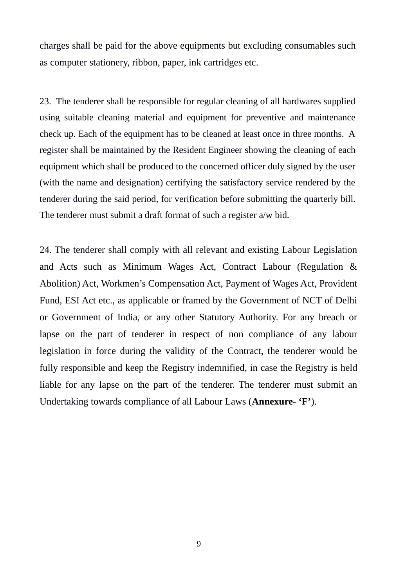charges shall be paid for the above equipments but excluding consumables such as computer stationery, ribbon, paper, ink cartridges etc.

23. The tenderer shall be responsible for regular cleaning of all hardwares supplied using suitable cleaning material and equipment for preventive and maintenance check up. Each of the equipment has to be cleaned at least once in three months. A register shall be maintained by the Resident Engineer showing the cleaning of each equipment which shall be produced to the concerned officer duly signed by the user (with the name and designation) certifying the satisfactory service rendered by the tenderer during the said period, for verification before submitting the quarterly bill. The tenderer must submit a draft format of such a register a/w bid.

24. The tenderer shall comply with all relevant and existing Labour Legislation and Acts such as Minimum Wages Act, Contract Labour (Regulation & Abolition) Act, Workmen's Compensation Act, Payment of Wages Act, Provident Fund, ESI Act etc., as applicable or framed by the Government of NCT of Delhi or Government of India, or any other Statutory Authority. For any breach or lapse on the part of tenderer in respect of non compliance of any labour legislation in force during the validity of the Contract, the tenderer would be fully responsible and keep the Registry indemnified, in case the Registry is held liable for any lapse on the part of the tenderer. The tenderer must submit an Undertaking towards compliance of all Labour Laws (**Annexure- 'F'**).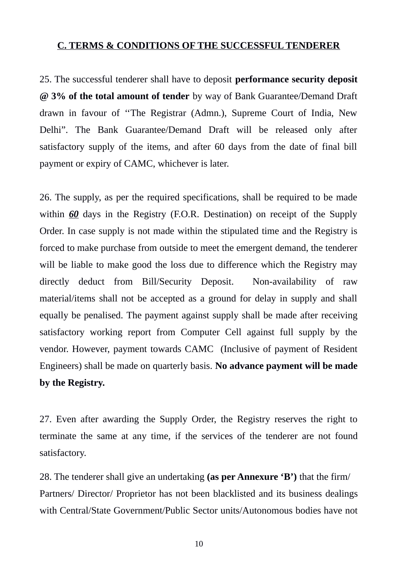# **C. TERMS & CONDITIONS OF THE SUCCESSFUL TENDERER**

25. The successful tenderer shall have to deposit **performance security deposit @ 3% of the total amount of tender** by way of Bank Guarantee/Demand Draft drawn in favour of ''The Registrar (Admn.), Supreme Court of India, New Delhi". The Bank Guarantee/Demand Draft will be released only after satisfactory supply of the items, and after 60 days from the date of final bill payment or expiry of CAMC, whichever is later.

26. The supply, as per the required specifications, shall be required to be made within *60* days in the Registry (F.O.R. Destination) on receipt of the Supply Order. In case supply is not made within the stipulated time and the Registry is forced to make purchase from outside to meet the emergent demand, the tenderer will be liable to make good the loss due to difference which the Registry may directly deduct from Bill/Security Deposit. Non-availability of raw material/items shall not be accepted as a ground for delay in supply and shall equally be penalised. The payment against supply shall be made after receiving satisfactory working report from Computer Cell against full supply by the vendor. However, payment towards CAMC (Inclusive of payment of Resident Engineers) shall be made on quarterly basis. **No advance payment will be made by the Registry.**

27. Even after awarding the Supply Order, the Registry reserves the right to terminate the same at any time, if the services of the tenderer are not found satisfactory.

28. The tenderer shall give an undertaking **(as per Annexure 'B')** that the firm/ Partners/ Director/ Proprietor has not been blacklisted and its business dealings with Central/State Government/Public Sector units/Autonomous bodies have not

10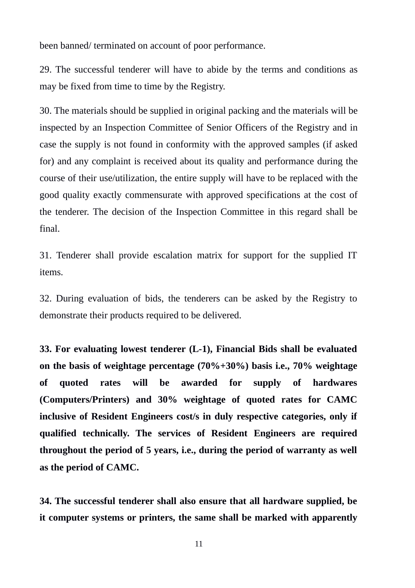been banned/ terminated on account of poor performance.

29. The successful tenderer will have to abide by the terms and conditions as may be fixed from time to time by the Registry.

30. The materials should be supplied in original packing and the materials will be inspected by an Inspection Committee of Senior Officers of the Registry and in case the supply is not found in conformity with the approved samples (if asked for) and any complaint is received about its quality and performance during the course of their use/utilization, the entire supply will have to be replaced with the good quality exactly commensurate with approved specifications at the cost of the tenderer. The decision of the Inspection Committee in this regard shall be final.

31. Tenderer shall provide escalation matrix for support for the supplied IT items.

32. During evaluation of bids, the tenderers can be asked by the Registry to demonstrate their products required to be delivered.

**33. For evaluating lowest tenderer (L-1), Financial Bids shall be evaluated on the basis of weightage percentage (70%+30%) basis i.e., 70% weightage of quoted rates will be awarded for supply of hardwares (Computers/Printers) and 30% weightage of quoted rates for CAMC inclusive of Resident Engineers cost/s in duly respective categories, only if qualified technically. The services of Resident Engineers are required throughout the period of 5 years, i.e., during the period of warranty as well as the period of CAMC.**

**34. The successful tenderer shall also ensure that all hardware supplied, be it computer systems or printers, the same shall be marked with apparently**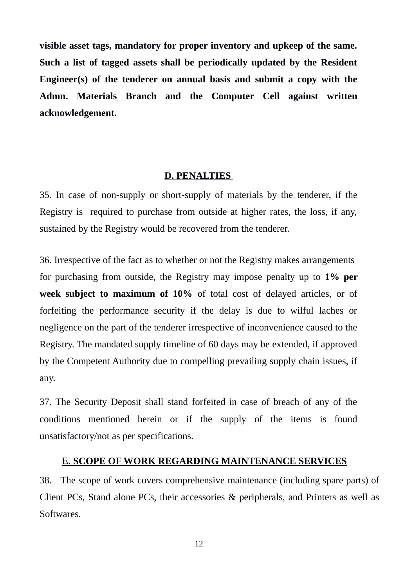**visible asset tags, mandatory for proper inventory and upkeep of the same. Such a list of tagged assets shall be periodically updated by the Resident Engineer(s) of the tenderer on annual basis and submit a copy with the Admn. Materials Branch and the Computer Cell against written acknowledgement.**

## **D. PENALTIES**

35. In case of non-supply or short-supply of materials by the tenderer, if the Registry is required to purchase from outside at higher rates, the loss, if any, sustained by the Registry would be recovered from the tenderer.

36. Irrespective of the fact as to whether or not the Registry makes arrangements for purchasing from outside, the Registry may impose penalty up to **1% per week subject to maximum of 10%** of total cost of delayed articles, or of forfeiting the performance security if the delay is due to wilful laches or negligence on the part of the tenderer irrespective of inconvenience caused to the Registry. The mandated supply timeline of 60 days may be extended, if approved by the Competent Authority due to compelling prevailing supply chain issues, if any.

37. The Security Deposit shall stand forfeited in case of breach of any of the conditions mentioned herein or if the supply of the items is found unsatisfactory/not as per specifications.

## **E. SCOPE OF WORK REGARDING MAINTENANCE SERVICES**

38. The scope of work covers comprehensive maintenance (including spare parts) of Client PCs, Stand alone PCs, their accessories & peripherals, and Printers as well as Softwares.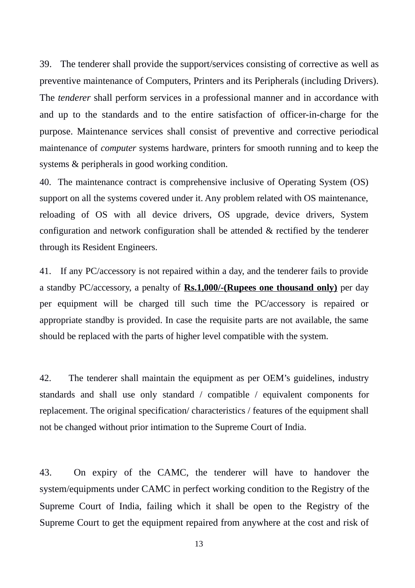39. The tenderer shall provide the support/services consisting of corrective as well as preventive maintenance of Computers, Printers and its Peripherals (including Drivers). The *tenderer* shall perform services in a professional manner and in accordance with and up to the standards and to the entire satisfaction of officer-in-charge for the purpose. Maintenance services shall consist of preventive and corrective periodical maintenance of *computer* systems hardware, printers for smooth running and to keep the systems & peripherals in good working condition.

40. The maintenance contract is comprehensive inclusive of Operating System (OS) support on all the systems covered under it. Any problem related with OS maintenance, reloading of OS with all device drivers, OS upgrade, device drivers, System configuration and network configuration shall be attended & rectified by the tenderer through its Resident Engineers.

41. If any PC/accessory is not repaired within a day, and the tenderer fails to provide a standby PC/accessory, a penalty of **Rs. 1,000/-(Rupees one thousand only)** per day per equipment will be charged till such time the PC/accessory is repaired or appropriate standby is provided. In case the requisite parts are not available, the same should be replaced with the parts of higher level compatible with the system.

42. The tenderer shall maintain the equipment as per OEM's guidelines, industry standards and shall use only standard / compatible / equivalent components for replacement. The original specification/ characteristics / features of the equipment shall not be changed without prior intimation to the Supreme Court of India.

43. On expiry of the CAMC, the tenderer will have to handover the system/equipments under CAMC in perfect working condition to the Registry of the Supreme Court of India, failing which it shall be open to the Registry of the Supreme Court to get the equipment repaired from anywhere at the cost and risk of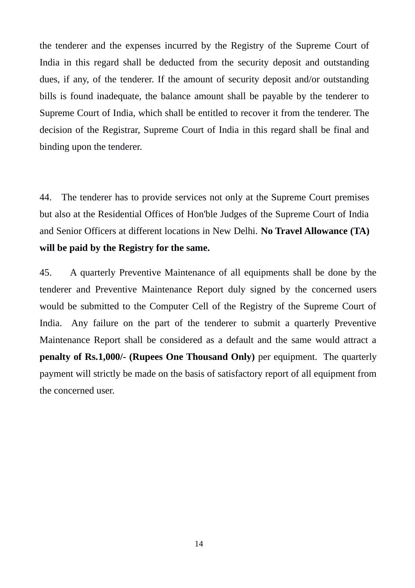the tenderer and the expenses incurred by the Registry of the Supreme Court of India in this regard shall be deducted from the security deposit and outstanding dues, if any, of the tenderer. If the amount of security deposit and/or outstanding bills is found inadequate, the balance amount shall be payable by the tenderer to Supreme Court of India, which shall be entitled to recover it from the tenderer. The decision of the Registrar, Supreme Court of India in this regard shall be final and binding upon the tenderer.

44. The tenderer has to provide services not only at the Supreme Court premises but also at the Residential Offices of Hon'ble Judges of the Supreme Court of India and Senior Officers at different locations in New Delhi. **No Travel Allowance (TA) will be paid by the Registry for the same.**

45. A quarterly Preventive Maintenance of all equipments shall be done by the tenderer and Preventive Maintenance Report duly signed by the concerned users would be submitted to the Computer Cell of the Registry of the Supreme Court of India. Any failure on the part of the tenderer to submit a quarterly Preventive Maintenance Report shall be considered as a default and the same would attract a **penalty of Rs.1,000/- (Rupees One Thousand Only)** per equipment. The quarterly payment will strictly be made on the basis of satisfactory report of all equipment from the concerned user.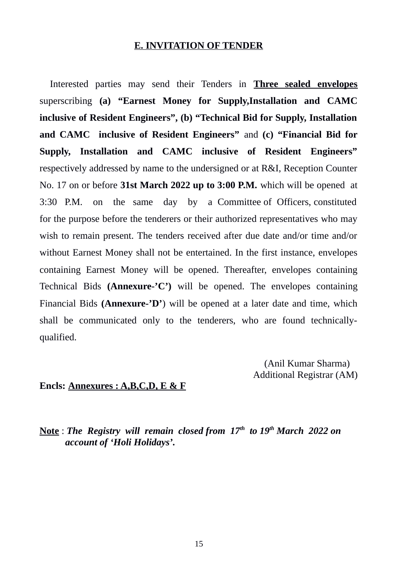# **E. INVITATION OF TENDER**

Interested parties may send their Tenders in **Three sealed envelopes** superscribing **(a) "Earnest Money for Supply,Installation and CAMC inclusive of Resident Engineers", (b) "Technical Bid for Supply, Installation and CAMC inclusive of Resident Engineers"** and **(c) "Financial Bid for Supply, Installation and CAMC inclusive of Resident Engineers"** respectively addressed by name to the undersigned or at R&I, Reception Counter No. 17 on or before **31st March 2022 up to 3:00 P.M.** which will be opened at 3:30 P.M. on the same day by a Committee of Officers, constituted for the purpose before the tenderers or their authorized representatives who may wish to remain present. The tenders received after due date and/or time and/or without Earnest Money shall not be entertained. In the first instance, envelopes containing Earnest Money will be opened. Thereafter, envelopes containing Technical Bids **(Annexure-'C')** will be opened. The envelopes containing Financial Bids **(Annexure-'D'**) will be opened at a later date and time, which shall be communicated only to the tenderers, who are found technicallyqualified.

> (Anil Kumar Sharma) Additional Registrar (AM)

# **Encls: Annexures : A,B,C,D, E & F**

**Note** : *The Registry will remain closed from 17th to 19th March 2022 on account of 'Holi Holidays'.*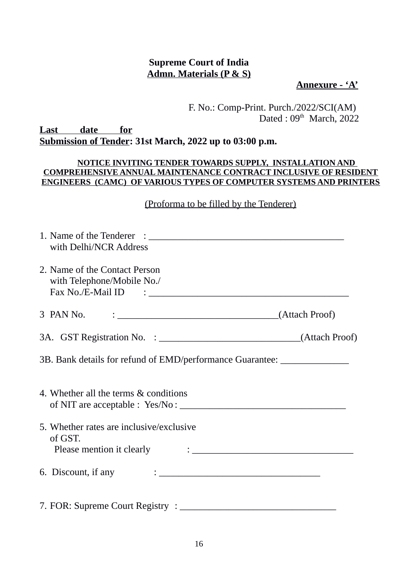# **Supreme Court of India Admn. Materials (P & S)**

**Annexure - 'A'**

 F. No.: Comp-Print. Purch./2022/SCI(AM) Dated :  $09<sup>th</sup>$  March, 2022

**Last date for Submission of Tender: 31st March, 2022 up to 03:00 p.m.**

## **NOTICE INVITING TENDER TOWARDS SUPPLY, INSTALLATION AND COMPREHENSIVE ANNUAL MAINTENANCE CONTRACT INCLUSIVE OF RESIDENT ENGINEERS (CAMC) OF VARIOUS TYPES OF COMPUTER SYSTEMS AND PRINTERS**

# (Proforma to be filled by the Tenderer)

| with Delhi/NCR Address                                                           |                                                                                                                                           |
|----------------------------------------------------------------------------------|-------------------------------------------------------------------------------------------------------------------------------------------|
| 2. Name of the Contact Person<br>with Telephone/Mobile No./                      |                                                                                                                                           |
| 3 PAN No.                                                                        |                                                                                                                                           |
|                                                                                  |                                                                                                                                           |
| 3B. Bank details for refund of EMD/performance Guarantee: ______________________ |                                                                                                                                           |
| 4. Whether all the terms & conditions                                            |                                                                                                                                           |
| 5. Whether rates are inclusive/exclusive<br>of GST.<br>Please mention it clearly | $\mathcal{L}(\mathcal{L}(\mathcal{L}))$ . The contract of the contract of the contract of the contract of the contract of the contract of |
| 6. Discount, if any                                                              |                                                                                                                                           |
|                                                                                  |                                                                                                                                           |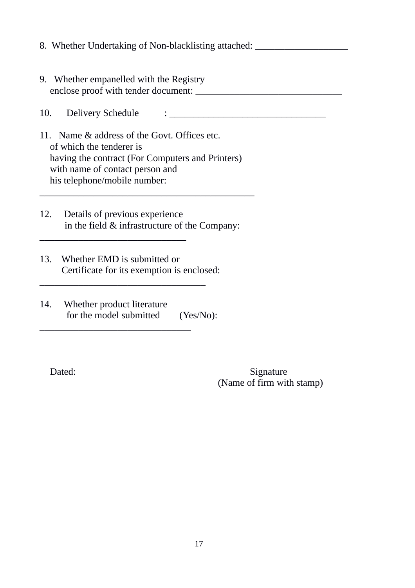- 8. Whether Undertaking of Non-blacklisting attached:
- 9. Whether empanelled with the Registry enclose proof with tender document:

10. Delivery Schedule : <u>and the set of the set of the set of the set of the set of the set of the set of the set of the set of the set of the set of the set of the set of the set of the set of the set of the set of the se</u>

- 11. Name & address of the Govt. Offices etc. of which the tenderer is having the contract (For Computers and Printers) with name of contact person and his telephone/mobile number:
- 12. Details of previous experience in the field & infrastructure of the Company:

\_\_\_\_\_\_\_\_\_\_\_\_\_\_\_\_\_\_\_\_\_\_\_\_\_\_\_\_\_\_\_\_\_\_\_\_\_\_\_\_\_\_\_\_

13. Whether EMD is submitted or Certificate for its exemption is enclosed:

\_\_\_\_\_\_\_\_\_\_\_\_\_\_\_\_\_\_\_\_\_\_\_\_\_\_\_\_\_\_\_\_\_\_

\_\_\_\_\_\_\_\_\_\_\_\_\_\_\_\_\_\_\_\_\_\_\_\_\_\_\_\_\_\_\_

 $\frac{1}{2}$  ,  $\frac{1}{2}$  ,  $\frac{1}{2}$  ,  $\frac{1}{2}$  ,  $\frac{1}{2}$  ,  $\frac{1}{2}$  ,  $\frac{1}{2}$  ,  $\frac{1}{2}$  ,  $\frac{1}{2}$  ,  $\frac{1}{2}$  ,  $\frac{1}{2}$  ,  $\frac{1}{2}$  ,  $\frac{1}{2}$  ,  $\frac{1}{2}$  ,  $\frac{1}{2}$  ,  $\frac{1}{2}$  ,  $\frac{1}{2}$  ,  $\frac{1}{2}$  ,  $\frac{1$ 

14. Whether product literature for the model submitted (Yes/No):

Dated: Signature (Name of firm with stamp)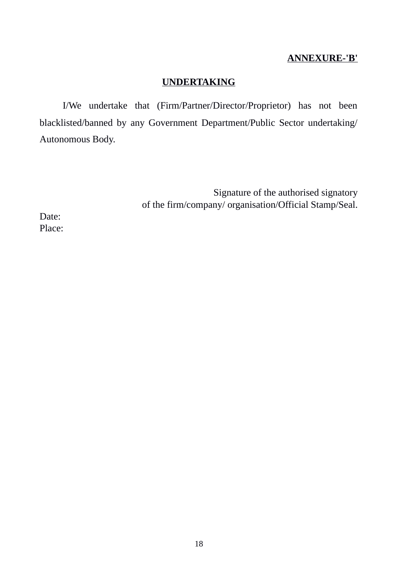# **ANNEXURE-'B'**

# **UNDERTAKING**

I/We undertake that (Firm/Partner/Director/Proprietor) has not been blacklisted/banned by any Government Department/Public Sector undertaking/ Autonomous Body.

> Signature of the authorised signatory of the firm/company/ organisation/Official Stamp/Seal.

Date: Place: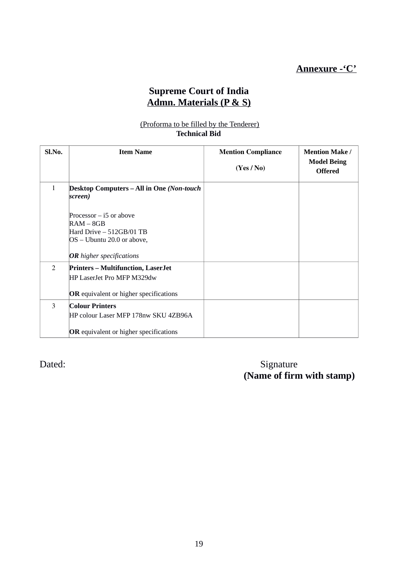# **Supreme Court of India Admn. Materials (P & S)**

### (Proforma to be filled by the Tenderer) **Technical Bid**

| Sl.No. | <b>Item Name</b>                                                                                                                      | <b>Mention Compliance</b><br>(Yes / No) | <b>Mention Make /</b><br><b>Model Being</b><br><b>Offered</b> |
|--------|---------------------------------------------------------------------------------------------------------------------------------------|-----------------------------------------|---------------------------------------------------------------|
| 1      | Desktop Computers – All in One (Non-touch<br>screen)                                                                                  |                                         |                                                               |
|        | Processor $-$ i5 or above<br>$RAM - 8GB$<br>Hard Drive – 512GB/01 TB<br>OS - Ubuntu 20.0 or above,<br><b>OR</b> higher specifications |                                         |                                                               |
| 2      | <b>Printers - Multifunction, LaserJet</b><br>HP LaserJet Pro MFP M329dw<br>OR equivalent or higher specifications                     |                                         |                                                               |
| 3      | <b>Colour Printers</b><br>HP colour Laser MFP 178nw SKU 4ZB96A<br>OR equivalent or higher specifications                              |                                         |                                                               |

Dated: Signature  **(Name of firm with stamp)**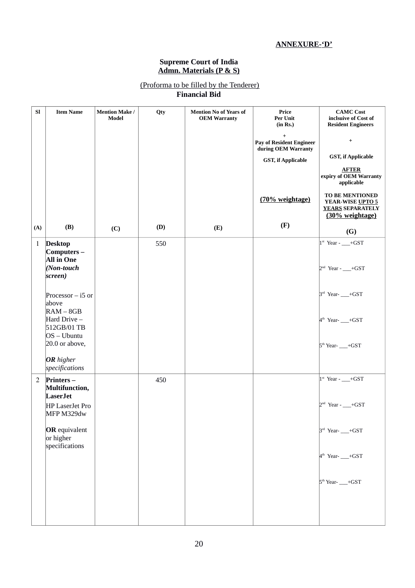# **ANNEXURE-'D'**

#### **Supreme Court of India Admn. Materials (P & S)**

## (Proforma to be filled by the Tenderer) **Financial Bid**

| <b>SI</b>      | <b>Item Name</b>                                        | <b>Mention Make /</b><br>Model | Qty | <b>Mention No of Years of</b><br><b>OEM Warranty</b> | Price<br>Per Unit<br>(in Rs.)                                       | <b>CAMC Cost</b><br>inclsuive of Cost of<br><b>Resident Engineers</b>             |
|----------------|---------------------------------------------------------|--------------------------------|-----|------------------------------------------------------|---------------------------------------------------------------------|-----------------------------------------------------------------------------------|
|                |                                                         |                                |     |                                                      | $\ddot{}$<br><b>Pay of Resident Engineer</b><br>during OEM Warranty | $\begin{array}{c} + \end{array}$                                                  |
|                |                                                         |                                |     |                                                      | <b>GST, if Applicable</b>                                           | <b>GST, if Applicable</b>                                                         |
|                |                                                         |                                |     |                                                      |                                                                     | <b>AFTER</b><br>expiry of OEM Warranty<br>applicable                              |
|                |                                                         |                                |     |                                                      | (70% weightage)                                                     | TO BE MENTIONED<br>YEAR-WISE UPTO 5<br><b>YEARS SEPARATELY</b><br>(30% weightage) |
| (A)            | (B)                                                     | (C)                            | (D) | (E)                                                  | (F)                                                                 | (G)                                                                               |
| $\mathbf{1}$   | <b>Desktop</b><br>Computers-<br><b>All in One</b>       |                                | 550 |                                                      |                                                                     | $1st$ Year - __+GST                                                               |
|                | (Non-touch<br>screen)                                   |                                |     |                                                      |                                                                     | $2nd$ Year - $\_\_\_$ +GST                                                        |
|                | Processor $-$ i5 or<br>above<br>$RAM - 8GB$             |                                |     |                                                      |                                                                     | $3rd$ Year- $\_$ +GST                                                             |
|                | Hard Drive-<br>512GB/01 TB<br>$OS - Ubuntu$             |                                |     |                                                      |                                                                     | 4 <sup>th</sup> Year- -- +GST                                                     |
|                | 20.0 or above,<br>OR higher                             |                                |     |                                                      |                                                                     | 5 <sup>th</sup> Year- - + GST                                                     |
| $\mathfrak{2}$ | specifications<br>Printers-<br>Multifunction,           |                                | 450 |                                                      |                                                                     | $1st$ Year - __+GST                                                               |
|                | <b>LaserJet</b><br><b>HP LaserJet Pro</b><br>MFP M329dw |                                |     |                                                      |                                                                     | $2nd$ Year - $\_\_\_$ +GST                                                        |
|                | <b>OR</b> equivalent<br>or higher<br>specifications     |                                |     |                                                      |                                                                     | $3rd$ Year- $\_$ +GST                                                             |
|                |                                                         |                                |     |                                                      |                                                                     | 4 <sup>th</sup> Year- -- +GST                                                     |
|                |                                                         |                                |     |                                                      |                                                                     | $5th$ Year- $\_\_\_$ +GST                                                         |
|                |                                                         |                                |     |                                                      |                                                                     |                                                                                   |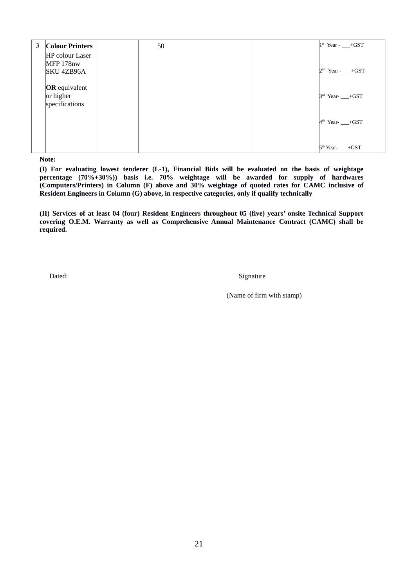| 3 | <b>Colour Printers</b>                              | 50 |  | $1st$ Year - $-$ +GST       |
|---|-----------------------------------------------------|----|--|-----------------------------|
|   | HP colour Laser<br>MFP 178nw<br>SKU 4ZB96A          |    |  | $2nd$ Year - $r = +GST$     |
|   | <b>OR</b> equivalent<br>or higher<br>specifications |    |  | $3rd$ Year- $\_$ +GST       |
|   |                                                     |    |  | $4th$ Year- $\_$ +GST       |
|   |                                                     |    |  | $5th$ Year- $\_\_\_\_$ +GST |

**Note:** 

**(I) For evaluating lowest tenderer (L-1), Financial Bids will be evaluated on the basis of weightage percentage (70%+30%)) basis i.e. 70% weightage will be awarded for supply of hardwares (Computers/Printers) in Column (F) above and 30% weightage of quoted rates for CAMC inclusive of Resident Engineers in Column (G) above, in respective categories, only if qualify technically**

**(II) Services of at least 04 (four) Resident Engineers throughout 05 (five) years' onsite Technical Support covering O.E.M. Warranty as well as Comprehensive Annual Maintenance Contract (CAMC) shall be required.**

**Dated:** Signature

(Name of firm with stamp)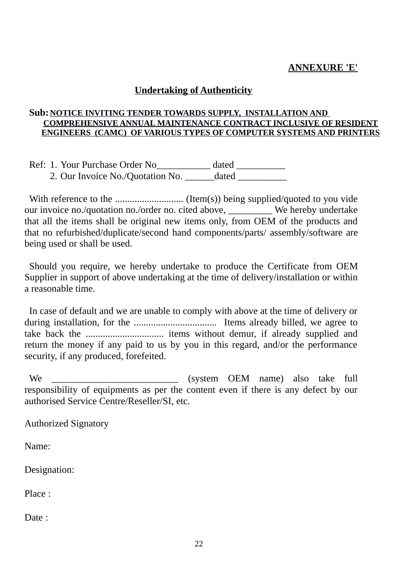# **ANNEXURE 'E'**

# **Undertaking of Authenticity**

# **Sub: NOTICE INVITING TENDER TOWARDS SUPPLY, INSTALLATION AND COMPREHENSIVE ANNUAL MAINTENANCE CONTRACT INCLUSIVE OF RESIDENT ENGINEERS (CAMC) OF VARIOUS TYPES OF COMPUTER SYSTEMS AND PRINTERS**

Ref: 1. Your Purchase Order No\_\_\_\_\_\_\_\_\_\_\_ dated \_\_\_\_\_\_\_\_\_\_ 2. Our Invoice No./Quotation No. \_\_\_\_\_\_\_ dated \_\_\_\_\_\_\_\_\_\_

With reference to the ............................ (Item(s)) being supplied/quoted to you vide our invoice no./quotation no./order no. cited above, We hereby undertake that all the items shall be original new items only, from OEM of the products and that no refurbished/duplicate/second hand components/parts/ assembly/software are being used or shall be used.

Should you require, we hereby undertake to produce the Certificate from OEM Supplier in support of above undertaking at the time of delivery/installation or within a reasonable time.

In case of default and we are unable to comply with above at the time of delivery or during installation, for the .................................. Items already billed, we agree to take back the ................................ items without demur, if already supplied and return the money if any paid to us by you in this regard, and/or the performance security, if any produced, forefeited.

We \_\_\_\_\_\_\_\_\_\_\_\_\_\_\_\_\_\_\_\_\_\_\_\_\_\_ (system OEM name) also take full responsibility of equipments as per the content even if there is any defect by our authorised Service Centre/Reseller/SI, etc.

Authorized Signatory

Name:

Designation:

Place :

Date ·